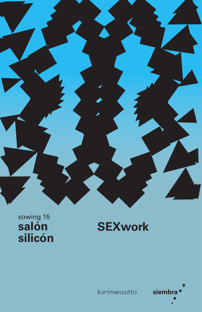

sowing 15<br>**Salón** silicón

## **SEXwork**



kurimanzutto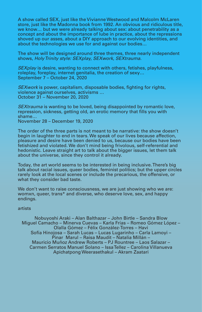A show called SEX, just like the Vivianne Westwood and Malcolm McLaren store, just like the Madonna book from 1992. An obvious and ridiculous title, we know... but we were already talking about sex: about penetrability as a concept and about the importance of lube in practice, about the repressions shoved up our asses, about a DIY approach to our evolving identities, and about the technologies we use for and against our bodies…

The show will be designed around three themes, three nearly independent shows, *Holy Trinity style: SEXplay, SEXwork, SEXtrauma.*

*SEXplay* is desire, wanting to connect with others, fetishes, playfulness, roleplay, foreplay, internet genitalia, the creation of sexy… September 7 – October 24, 2020

*SEXwork* is power, capitalism, disposable bodies, fighting for rights, violence against ourselves, activisms … October 31 – November 20, 2020

*SEXtrauma* is wanting to be loved, being disappointed by romantic love, repression, sickness, getting old, an erotic memory that fills you with shame… November 28 – December 19, 2020

The order of the three parts is not meant to be narrative: the show doesn't begin in laughter to end in tears. We speak of our lives because affection, pleasure and desire have been denied to us, because our bodies have been fetishized and violated. We don't mind being frivolous, self-referential and hedonistic. Leave straight art to talk about the bigger issues, let them talk about the universe, since they control it already.

Today, the art world seems to be interested in being inclusive. There's big talk about racial issues, queer bodies, feminist politics; but the upper circles rarely look at the local scenes or include the precarious, the offensive, or what they consider bad taste.

We don't want to raise consciousness, we are just showing who we are: womxn, queer, trans\* and diverse, who deserve love, sex, and happy endings.

artists

Nobuyoshi Araki – Alan Balthazar – John Birtle – Sandra Blow Miguel Camacho – Minerva Cuevas – Karla Frías – Romeo Gómez López – Olalla Gómez – Félix González-Torres – Havi Sofía Hinojosa – Sarah Lucas – Lucas Lugarinho – Carla Lamoyi – Pinar Marul – Raisa Maudit – Natalia Millán – Mauricio Muñoz Andrew Roberts – PJ Rountree – Laos Salazar – Carmen Serratos Manuel Solano – Issa Tellez – Carolina Villanueva Apichatpong Weerasethakul – Akram Zaatari